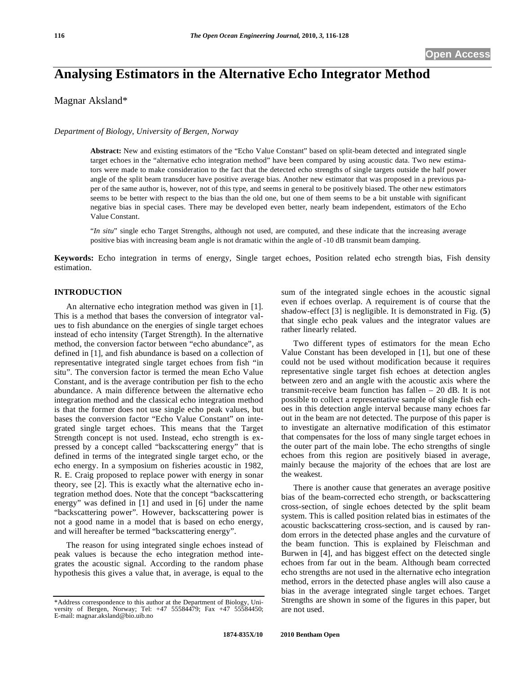# **Analysing Estimators in the Alternative Echo Integrator Method**

Magnar Aksland\*

### *Department of Biology, University of Bergen, Norway*

**Abstract:** New and existing estimators of the "Echo Value Constant" based on split-beam detected and integrated single target echoes in the "alternative echo integration method" have been compared by using acoustic data. Two new estimators were made to make consideration to the fact that the detected echo strengths of single targets outside the half power angle of the split beam transducer have positive average bias. Another new estimator that was proposed in a previous paper of the same author is, however, not of this type, and seems in general to be positively biased. The other new estimators seems to be better with respect to the bias than the old one, but one of them seems to be a bit unstable with significant negative bias in special cases. There may be developed even better, nearly beam independent, estimators of the Echo Value Constant.

"*In situ*" single echo Target Strengths, although not used, are computed, and these indicate that the increasing average positive bias with increasing beam angle is not dramatic within the angle of -10 dB transmit beam damping.

**Keywords:** Echo integration in terms of energy, Single target echoes, Position related echo strength bias, Fish density estimation.

#### **INTRODUCTION**

An alternative echo integration method was given in [1]. This is a method that bases the conversion of integrator values to fish abundance on the energies of single target echoes instead of echo intensity (Target Strength). In the alternative method, the conversion factor between "echo abundance", as defined in [1], and fish abundance is based on a collection of representative integrated single target echoes from fish "in situ". The conversion factor is termed the mean Echo Value Constant, and is the average contribution per fish to the echo abundance. A main difference between the alternative echo integration method and the classical echo integration method is that the former does not use single echo peak values, but bases the conversion factor "Echo Value Constant" on integrated single target echoes. This means that the Target Strength concept is not used. Instead, echo strength is expressed by a concept called "backscattering energy" that is defined in terms of the integrated single target echo, or the echo energy. In a symposium on fisheries acoustic in 1982, R. E. Craig proposed to replace power with energy in sonar theory, see [2]. This is exactly what the alternative echo integration method does. Note that the concept "backscattering energy" was defined in [1] and used in [6] under the name "backscattering power". However, backscattering power is not a good name in a model that is based on echo energy, and will hereafter be termed "backscattering energy".

The reason for using integrated single echoes instead of peak values is because the echo integration method integrates the acoustic signal. According to the random phase hypothesis this gives a value that, in average, is equal to the

sum of the integrated single echoes in the acoustic signal even if echoes overlap. A requirement is of course that the shadow-effect [3] is negligible. It is demonstrated in Fig. (**5**) that single echo peak values and the integrator values are rather linearly related.

Two different types of estimators for the mean Echo Value Constant has been developed in [1], but one of these could not be used without modification because it requires representative single target fish echoes at detection angles between zero and an angle with the acoustic axis where the transmit-receive beam function has fallen – 20 dB. It is not possible to collect a representative sample of single fish echoes in this detection angle interval because many echoes far out in the beam are not detected. The purpose of this paper is to investigate an alternative modification of this estimator that compensates for the loss of many single target echoes in the outer part of the main lobe. The echo strengths of single echoes from this region are positively biased in average, mainly because the majority of the echoes that are lost are the weakest.

There is another cause that generates an average positive bias of the beam-corrected echo strength, or backscattering cross-section, of single echoes detected by the split beam system. This is called position related bias in estimates of the acoustic backscattering cross-section, and is caused by random errors in the detected phase angles and the curvature of the beam function. This is explained by Fleischman and Burwen in [4], and has biggest effect on the detected single echoes from far out in the beam. Although beam corrected echo strengths are not used in the alternative echo integration method, errors in the detected phase angles will also cause a bias in the average integrated single target echoes. Target Strengths are shown in some of the figures in this paper, but are not used.

<sup>\*</sup>Address correspondence to this author at the Department of Biology, University of Bergen, Norway; Tel: +47 55584479; Fax +47 55584450; E-mail: magnar.aksland@bio.uib.no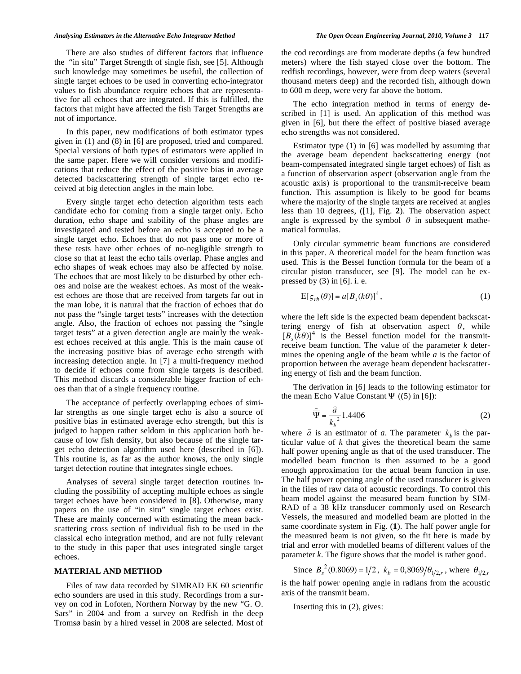There are also studies of different factors that influence the "in situ" Target Strength of single fish, see [5]. Although such knowledge may sometimes be useful, the collection of single target echoes to be used in converting echo-integrator values to fish abundance require echoes that are representative for all echoes that are integrated. If this is fulfilled, the factors that might have affected the fish Target Strengths are not of importance.

In this paper, new modifications of both estimator types given in (1) and (8) in [6] are proposed, tried and compared. Special versions of both types of estimators were applied in the same paper. Here we will consider versions and modifications that reduce the effect of the positive bias in average detected backscattering strength of single target echo received at big detection angles in the main lobe.

Every single target echo detection algorithm tests each candidate echo for coming from a single target only. Echo duration, echo shape and stability of the phase angles are investigated and tested before an echo is accepted to be a single target echo. Echoes that do not pass one or more of these tests have other echoes of no-negligible strength to close so that at least the echo tails overlap. Phase angles and echo shapes of weak echoes may also be affected by noise. The echoes that are most likely to be disturbed by other echoes and noise are the weakest echoes. As most of the weakest echoes are those that are received from targets far out in the man lobe, it is natural that the fraction of echoes that do not pass the "single target tests" increases with the detection angle. Also, the fraction of echoes not passing the "single target tests" at a given detection angle are mainly the weakest echoes received at this angle. This is the main cause of the increasing positive bias of average echo strength with increasing detection angle. In [7] a multi-frequency method to decide if echoes come from single targets is described. This method discards a considerable bigger fraction of echoes than that of a single frequency routine.

The acceptance of perfectly overlapping echoes of similar strengths as one single target echo is also a source of positive bias in estimated average echo strength, but this is judged to happen rather seldom in this application both because of low fish density, but also because of the single target echo detection algorithm used here (described in [6]). This routine is, as far as the author knows, the only single target detection routine that integrates single echoes.

Analyses of several single target detection routines including the possibility of accepting multiple echoes as single target echoes have been considered in [8]. Otherwise, many papers on the use of "in situ" single target echoes exist. These are mainly concerned with estimating the mean backscattering cross section of individual fish to be used in the classical echo integration method, and are not fully relevant to the study in this paper that uses integrated single target echoes.

## **MATERIAL AND METHOD**

Files of raw data recorded by SIMRAD EK 60 scientific echo sounders are used in this study. Recordings from a survey on cod in Lofoten, Northern Norway by the new "G. O. Sars" in 2004 and from a survey on Redfish in the deep Tromsø basin by a hired vessel in 2008 are selected. Most of the cod recordings are from moderate depths (a few hundred meters) where the fish stayed close over the bottom. The redfish recordings, however, were from deep waters (several thousand meters deep) and the recorded fish, although down to 600 m deep, were very far above the bottom.

The echo integration method in terms of energy described in [1] is used. An application of this method was given in [6], but there the effect of positive biased average echo strengths was not considered.

Estimator type (1) in [6] was modelled by assuming that the average beam dependent backscattering energy (not beam-compensated integrated single target echoes) of fish as a function of observation aspect (observation angle from the acoustic axis) is proportional to the transmit-receive beam function. This assumption is likely to be good for beams where the majority of the single targets are received at angles less than 10 degrees, ([1], Fig. **2**). The observation aspect angle is expressed by the symbol  $\theta$  in subsequent mathematical formulas.

Only circular symmetric beam functions are considered in this paper. A theoretical model for the beam function was used. This is the Bessel function formula for the beam of a circular piston transducer, see [9]. The model can be expressed by  $(3)$  in [6]. i. e.

$$
E[\varsigma_{rb}(\theta)] = a[B_s(k\theta)]^4, \qquad (1)
$$

where the left side is the expected beam dependent backscattering energy of fish at observation aspect  $\theta$ , while  $[B<sub>s</sub>(k\theta)]<sup>4</sup>$  is the Bessel function model for the transmitreceive beam function. The value of the parameter *k* determines the opening angle of the beam while *a* is the factor of proportion between the average beam dependent backscattering energy of fish and the beam function.

The derivation in  $[6]$  leads to the following estimator for the mean Echo Value Constant  $\overline{\Psi}$  ((5) in [6]):

$$
\widehat{\overline{\Psi}} = \frac{\widehat{a}}{k_b^2} 1.4406
$$
 (2)

where  $\hat{a}$  is an estimator of *a*. The parameter  $k_b$  is the particular value of *k* that gives the theoretical beam the same half power opening angle as that of the used transducer. The modelled beam function is then assumed to be a good enough approximation for the actual beam function in use. The half power opening angle of the used transducer is given in the files of raw data of acoustic recordings. To control this beam model against the measured beam function by SIM-RAD of a 38 kHz transducer commonly used on Research Vessels, the measured and modelled beam are plotted in the same coordinate system in Fig. (**1**). The half power angle for the measured beam is not given, so the fit here is made by trial and error with modelled beams of different values of the parameter *k*. The figure shows that the model is rather good.

Since  $B_s^2(0.8069) = 1/2$ ,  $k_b = 0.8069/\theta_{1/2,r}$ , where  $\theta_{1/2,r}$ 

is the half power opening angle in radians from the acoustic axis of the transmit beam.

Inserting this in (2), gives: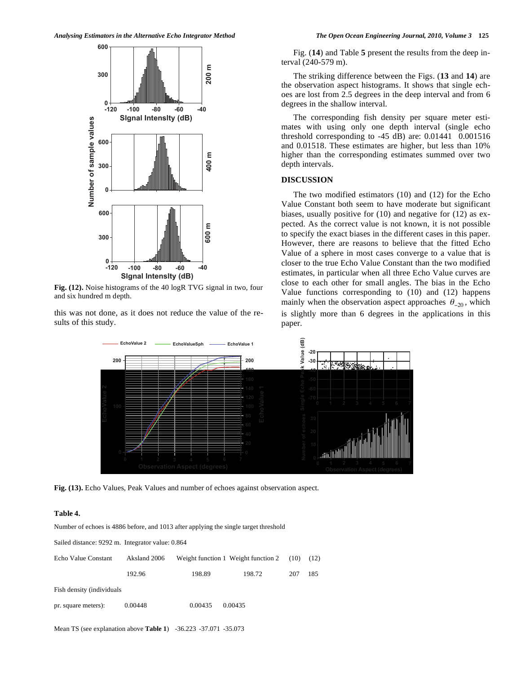

**Fig. (12).** Noise histograms of the 40 logR TVG signal in two, four and six hundred m depth.

this was not done, as it does not reduce the value of the results of this study.

Fig. (**14**) and Table **5** present the results from the deep interval (240-579 m).

The striking difference between the Figs. (**13** and **14**) are the observation aspect histograms. It shows that single echoes are lost from 2.5 degrees in the deep interval and from 6 degrees in the shallow interval.

The corresponding fish density per square meter estimates with using only one depth interval (single echo threshold corresponding to -45 dB) are: 0.01441 0.001516 and 0.01518. These estimates are higher, but less than 10% higher than the corresponding estimates summed over two depth intervals.

#### **DISCUSSION**

The two modified estimators (10) and (12) for the Echo Value Constant both seem to have moderate but significant biases, usually positive for (10) and negative for (12) as expected. As the correct value is not known, it is not possible to specify the exact biases in the different cases in this paper. However, there are reasons to believe that the fitted Echo Value of a sphere in most cases converge to a value that is closer to the true Echo Value Constant than the two modified estimates, in particular when all three Echo Value curves are close to each other for small angles. The bias in the Echo Value functions corresponding to (10) and (12) happens mainly when the observation aspect approaches  $\theta_{-20}$ , which is slightly more than 6 degrees in the applications in this paper.



**Fig. (13).** Echo Values, Peak Values and number of echoes against observation aspect.

#### **Table 4.**

Number of echoes is 4886 before, and 1013 after applying the single target threshold

Sailed distance: 9292 m. Integrator value: 0.864

| Echo Value Constant       | Aksland 2006 |         | Weight function 1 Weight function 2 | (10) | (12) |
|---------------------------|--------------|---------|-------------------------------------|------|------|
|                           | 192.96       | 198.89  | 198.72                              | 207  | 185  |
| Fish density (individuals |              |         |                                     |      |      |
| pr. square meters):       | 0.00448      | 0.00435 | 0.00435                             |      |      |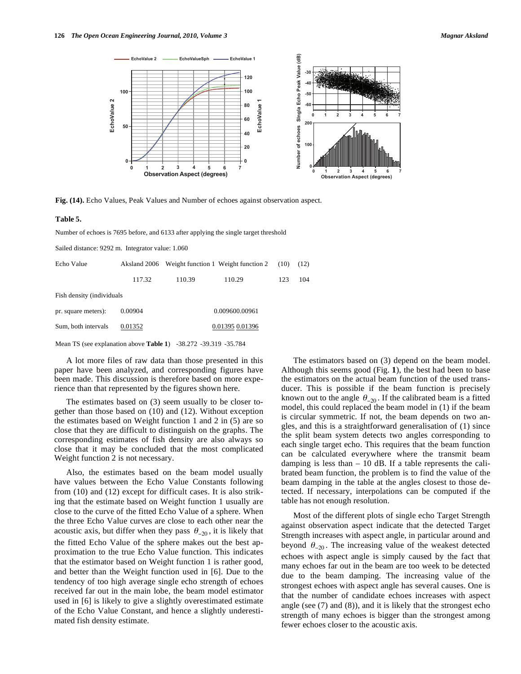

**Fig. (14).** Echo Values, Peak Values and Number of echoes against observation aspect.

#### **Table 5.**

Number of echoes is 7695 before, and 6133 after applying the single target threshold

Sailed distance: 9292 m. Integrator value: 1.060

| Echo Value                | Aksland 2006 |                | Weight function 1 Weight function 2 | (10) | (12) |  |  |  |
|---------------------------|--------------|----------------|-------------------------------------|------|------|--|--|--|
|                           | 117.32       | 110.39         | 110.29                              | 123  | 104  |  |  |  |
| Fish density (individuals |              |                |                                     |      |      |  |  |  |
| pr. square meters):       | 0.00904      | 0.009600.00961 |                                     |      |      |  |  |  |
| Sum, both intervals       | 0.01352      |                | 0.01395 0.01396                     |      |      |  |  |  |

Mean TS (see explanation above **Table 1**) -38.272 -39.319 -35.784

A lot more files of raw data than those presented in this paper have been analyzed, and corresponding figures have been made. This discussion is therefore based on more experience than that represented by the figures shown here.

The estimates based on (3) seem usually to be closer together than those based on (10) and (12). Without exception the estimates based on Weight function 1 and 2 in (5) are so close that they are difficult to distinguish on the graphs. The corresponding estimates of fish density are also always so close that it may be concluded that the most complicated Weight function 2 is not necessary.

Also, the estimates based on the beam model usually have values between the Echo Value Constants following from (10) and (12) except for difficult cases. It is also striking that the estimate based on Weight function 1 usually are close to the curve of the fitted Echo Value of a sphere. When the three Echo Value curves are close to each other near the acoustic axis, but differ when they pass  $\theta_{-20}$ , it is likely that the fitted Echo Value of the sphere makes out the best approximation to the true Echo Value function. This indicates that the estimator based on Weight function 1 is rather good, and better than the Weight function used in [6]. Due to the tendency of too high average single echo strength of echoes received far out in the main lobe, the beam model estimator used in [6] is likely to give a slightly overestimated estimate of the Echo Value Constant, and hence a slightly underestimated fish density estimate.

The estimators based on (3) depend on the beam model. Although this seems good (Fig. **1**), the best had been to base the estimators on the actual beam function of the used transducer. This is possible if the beam function is precisely known out to the angle  $\theta_{-20}$ . If the calibrated beam is a fitted model, this could replaced the beam model in (1) if the beam is circular symmetric. If not, the beam depends on two angles, and this is a straightforward generalisation of (1) since the split beam system detects two angles corresponding to each single target echo. This requires that the beam function can be calculated everywhere where the transmit beam damping is less than  $-10$  dB. If a table represents the calibrated beam function, the problem is to find the value of the beam damping in the table at the angles closest to those detected. If necessary, interpolations can be computed if the table has not enough resolution.

Most of the different plots of single echo Target Strength against observation aspect indicate that the detected Target Strength increases with aspect angle, in particular around and beyond  $\theta_{-20}$ . The increasing value of the weakest detected echoes with aspect angle is simply caused by the fact that many echoes far out in the beam are too week to be detected due to the beam damping. The increasing value of the strongest echoes with aspect angle has several causes. One is that the number of candidate echoes increases with aspect angle (see (7) and (8)), and it is likely that the strongest echo strength of many echoes is bigger than the strongest among fewer echoes closer to the acoustic axis.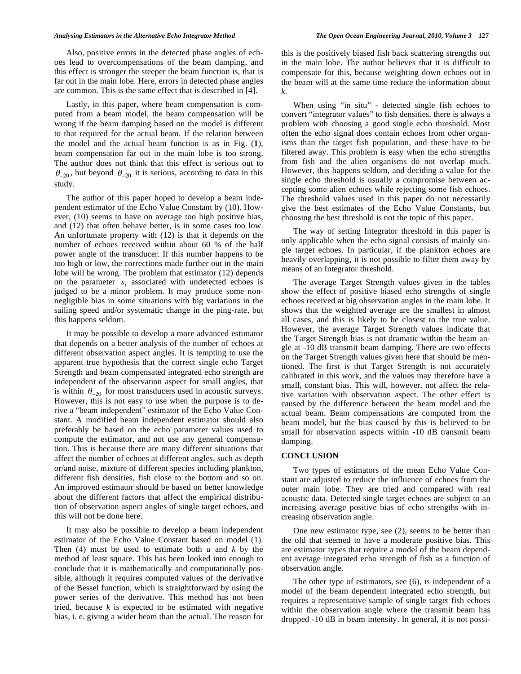Also, positive errors in the detected phase angles of echoes lead to overcompensations of the beam damping, and this effect is stronger the steeper the beam function is, that is far out in the main lobe. Here, errors in detected phase angles are common. This is the same effect that is described in [4].

Lastly, in this paper, where beam compensation is computed from a beam model, the beam compensation will be wrong if the beam damping based on the model is different to that required for the actual beam. If the relation between the model and the actual beam function is as in Fig. (**1**), beam compensation far out in the main lobe is too strong. The author does not think that this effect is serious out to  $\theta_{-20}$ , but beyond  $\theta_{-20}$  it is serious, according to data in this study.

The author of this paper hoped to develop a beam independent estimator of the Echo Value Constant by (10). However, (10) seems to have on average too high positive bias, and (12) that often behave better, is in some cases too low. An unfortunate property with (12) is that it depends on the number of echoes received within about 60 % of the half power angle of the transducer. If this number happens to be too high or low, the corrections made further out in the main lobe will be wrong. The problem that estimator (12) depends on the parameter *si* associated with undetected echoes is judged to be a minor problem. It may produce some nonnegligible bias in some situations with big variations in the sailing speed and/or systematic change in the ping-rate, but this happens seldom.

It may be possible to develop a more advanced estimator that depends on a better analysis of the number of echoes at different observation aspect angles. It is tempting to use the apparent true hypothesis that the correct single echo Target Strength and beam compensated integrated echo strength are independent of the observation aspect for small angles, that is within  $\theta_{-20}$  for most transducers used in acoustic surveys. However, this is not easy to use when the purpose is to derive a "beam independent" estimator of the Echo Value Constant. A modified beam independent estimator should also preferably be based on the echo parameter values used to compute the estimator, and not use any general compensation. This is because there are many different situations that affect the number of echoes at different angles, such as depth or/and noise, mixture of different species including plankton, different fish densities, fish close to the bottom and so on. An improved estimator should be based on better knowledge about the different factors that affect the empirical distribution of observation aspect angles of single target echoes, and this will not be done here.

It may also be possible to develop a beam independent estimator of the Echo Value Constant based on model (1). Then (4) must be used to estimate both *a* and *k* by the method of least square. This has been looked into enough to conclude that it is mathematically and computationally possible, although it requires computed values of the derivative of the Bessel function, which is straightforward by using the power series of the derivative. This method has not been tried, because *k* is expected to be estimated with negative bias, i. e. giving a wider beam than the actual. The reason for

this is the positively biased fish back scattering strengths out in the main lobe. The author believes that it is difficult to compensate for this, because weighting down echoes out in the beam will at the same time reduce the information about *k*.

When using "in situ" - detected single fish echoes to convert "integrator values" to fish densities, there is always a problem with choosing a good single echo threshold. Most often the echo signal does contain echoes from other organisms than the target fish population, and these have to be filtered away. This problem is easy when the echo strengths from fish and the alien organisms do not overlap much. However, this happens seldom, and deciding a value for the single echo threshold is usually a compromise between accepting some alien echoes while rejecting some fish echoes. The threshold values used in this paper do not necessarily give the best estimates of the Echo Value Constants, but choosing the best threshold is not the topic of this paper.

The way of setting Integrator threshold in this paper is only applicable when the echo signal consists of mainly single target echoes. In particular, if the plankton echoes are heavily overlapping, it is not possible to filter them away by means of an Integrator threshold.

The average Target Strength values given in the tables show the effect of positive biased echo strengths of single echoes received at big observation angles in the main lobe. It shows that the weighted average are the smallest in almost all cases, and this is likely to be closest to the true value. However, the average Target Strength values indicate that the Target Strength bias is not dramatic within the beam angle at -10 dB transmit beam damping. There are two effects on the Target Strength values given here that should be mentioned. The first is that Target Strength is not accurately calibrated in this work, and the values may therefore have a small, constant bias. This will, however, not affect the relative variation with observation aspect. The other effect is caused by the difference between the beam model and the actual beam. Beam compensations are computed from the beam model, but the bias caused by this is believed to be small for observation aspects within -10 dB transmit beam damping.

#### **CONCLUSION**

Two types of estimators of the mean Echo Value Constant are adjusted to reduce the influence of echoes from the outer main lobe. They are tried and compared with real acoustic data. Detected single target echoes are subject to an increasing average positive bias of echo strengths with increasing observation angle.

One new estimator type, see (2), seems to be better than the old that seemed to have a moderate positive bias. This are estimator types that require a model of the beam dependent average integrated echo strength of fish as a function of observation angle.

The other type of estimators, see (6), is independent of a model of the beam dependent integrated echo strength, but requires a representative sample of single target fish echoes within the observation angle where the transmit beam has dropped -10 dB in beam intensity. In general, it is not possi